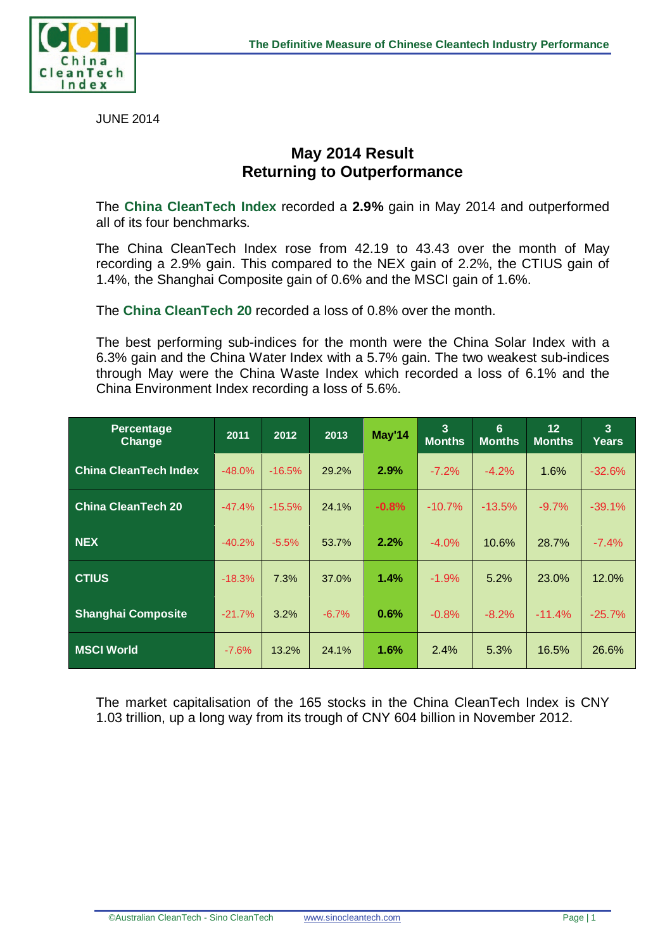

JUNE 2014

## **May 2014 Result Returning to Outperformance**

The **China CleanTech Index** recorded a **2.9%** gain in May 2014 and outperformed all of its four benchmarks.

The China CleanTech Index rose from 42.19 to 43.43 over the month of May recording a 2.9% gain. This compared to the NEX gain of 2.2%, the CTIUS gain of 1.4%, the Shanghai Composite gain of 0.6% and the MSCI gain of 1.6%.

The **China CleanTech 20** recorded a loss of 0.8% over the month.

The best performing sub-indices for the month were the China Solar Index with a 6.3% gain and the China Water Index with a 5.7% gain. The two weakest sub-indices through May were the China Waste Index which recorded a loss of 6.1% and the China Environment Index recording a loss of 5.6%.

| Percentage<br>Change         | 2011     | 2012     | 2013    | May'14  | $\overline{3}$<br><b>Months</b> | 6<br><b>Months</b> | 12<br><b>Months</b> | $\overline{3}$<br><b>Years</b> |
|------------------------------|----------|----------|---------|---------|---------------------------------|--------------------|---------------------|--------------------------------|
| <b>China CleanTech Index</b> | $-48.0%$ | $-16.5%$ | 29.2%   | 2.9%    | $-7.2%$                         | $-4.2%$            | 1.6%                | $-32.6%$                       |
| <b>China CleanTech 20</b>    | $-47.4%$ | $-15.5%$ | 24.1%   | $-0.8%$ | $-10.7%$                        | $-13.5%$           | $-9.7%$             | $-39.1%$                       |
| <b>NEX</b>                   | $-40.2%$ | $-5.5%$  | 53.7%   | 2.2%    | $-4.0%$                         | 10.6%              | 28.7%               | $-7.4%$                        |
| <b>CTIUS</b>                 | $-18.3%$ | 7.3%     | 37.0%   | 1.4%    | $-1.9%$                         | 5.2%               | 23.0%               | 12.0%                          |
| <b>Shanghai Composite</b>    | $-21.7%$ | 3.2%     | $-6.7%$ | 0.6%    | $-0.8%$                         | $-8.2%$            | $-11.4%$            | $-25.7%$                       |
| <b>MSCI World</b>            | $-7.6\%$ | 13.2%    | 24.1%   | 1.6%    | 2.4%                            | 5.3%               | 16.5%               | 26.6%                          |

The market capitalisation of the 165 stocks in the China CleanTech Index is CNY 1.03 trillion, up a long way from its trough of CNY 604 billion in November 2012.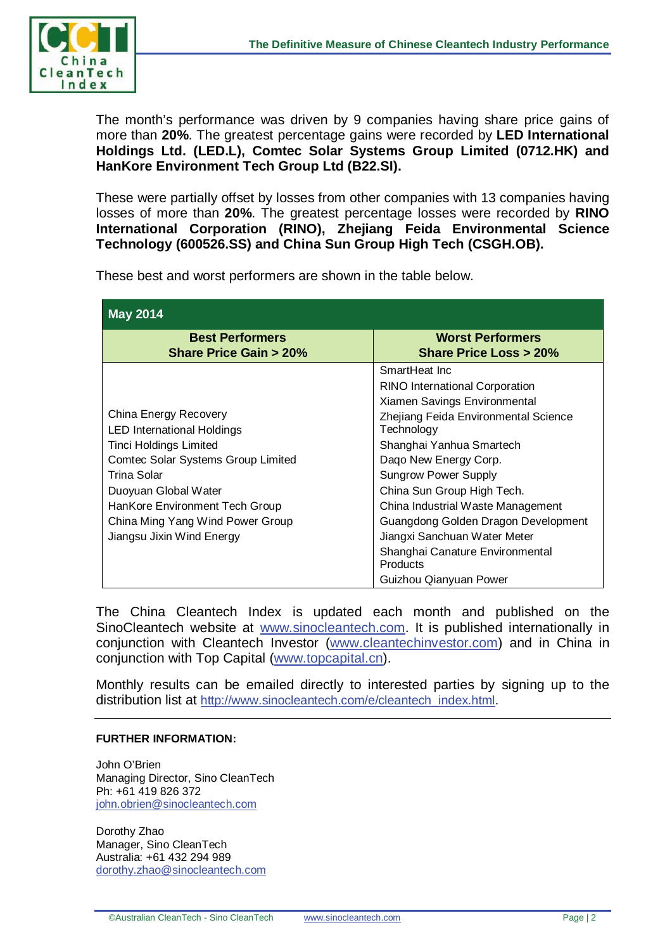

The month's performance was driven by 9 companies having share price gains of more than **20%**. The greatest percentage gains were recorded by **LED International Holdings Ltd. (LED.L), Comtec Solar Systems Group Limited (0712.HK) and HanKore Environment Tech Group Ltd (B22.SI).** 

These were partially offset by losses from other companies with 13 companies having losses of more than **20%**. The greatest percentage losses were recorded by **RINO International Corporation (RINO), Zhejiang Feida Environmental Science Technology (600526.SS) and China Sun Group High Tech (CSGH.OB).** 

These best and worst performers are shown in the table below.

| <b>May 2014</b>                                            |                                                             |  |  |  |  |  |
|------------------------------------------------------------|-------------------------------------------------------------|--|--|--|--|--|
| <b>Best Performers</b><br><b>Share Price Gain &gt; 20%</b> | <b>Worst Performers</b><br><b>Share Price Loss &gt; 20%</b> |  |  |  |  |  |
|                                                            | SmartHeat Inc.                                              |  |  |  |  |  |
|                                                            | <b>RINO International Corporation</b>                       |  |  |  |  |  |
|                                                            | Xiamen Savings Environmental                                |  |  |  |  |  |
| China Energy Recovery                                      | Zhejiang Feida Environmental Science                        |  |  |  |  |  |
| <b>LED International Holdings</b>                          | Technology                                                  |  |  |  |  |  |
| <b>Tinci Holdings Limited</b>                              | Shanghai Yanhua Smartech                                    |  |  |  |  |  |
| <b>Comtec Solar Systems Group Limited</b>                  | Dago New Energy Corp.                                       |  |  |  |  |  |
| Trina Solar                                                | <b>Sungrow Power Supply</b>                                 |  |  |  |  |  |
| Duoyuan Global Water                                       | China Sun Group High Tech.                                  |  |  |  |  |  |
| HanKore Environment Tech Group                             | China Industrial Waste Management                           |  |  |  |  |  |
| China Ming Yang Wind Power Group                           | Guangdong Golden Dragon Development                         |  |  |  |  |  |
| Jiangsu Jixin Wind Energy                                  | Jiangxi Sanchuan Water Meter                                |  |  |  |  |  |
|                                                            | Shanghai Canature Environmental<br>Products                 |  |  |  |  |  |
|                                                            | Guizhou Qianyuan Power                                      |  |  |  |  |  |

The China Cleantech Index is updated each month and published on the SinoCleantech website at [www.sinocleantech.com.](http://www.sinocleantech.com/) It is published internationally in conjunction with Cleantech Investor [\(www.cleantechinvestor.com\)](http://www.cleantechinvestor.com/) and in China in conjunction with Top Capital [\(www.topcapital.cn\)](http://www.topcapital.cn/).

Monthly results can be emailed directly to interested parties by signing up to the distribution list at [http://www.sinocleantech.com/e/cleantech\\_index.html.](http://www.sinocleantech.com/e/cleantech_index.html)

## **FURTHER INFORMATION:**

John O'Brien Managing Director, Sino CleanTech Ph: +61 419 826 372 [john.obrien@sinocleantech.com](mailto:john.obrien@sinocleantech.com) 

Dorothy Zhao Manager, Sino CleanTech Australia: +61 432 294 989 [dorothy.zhao@sinocleantech.com](mailto:dorothy.zhao@sinocleantech.com)